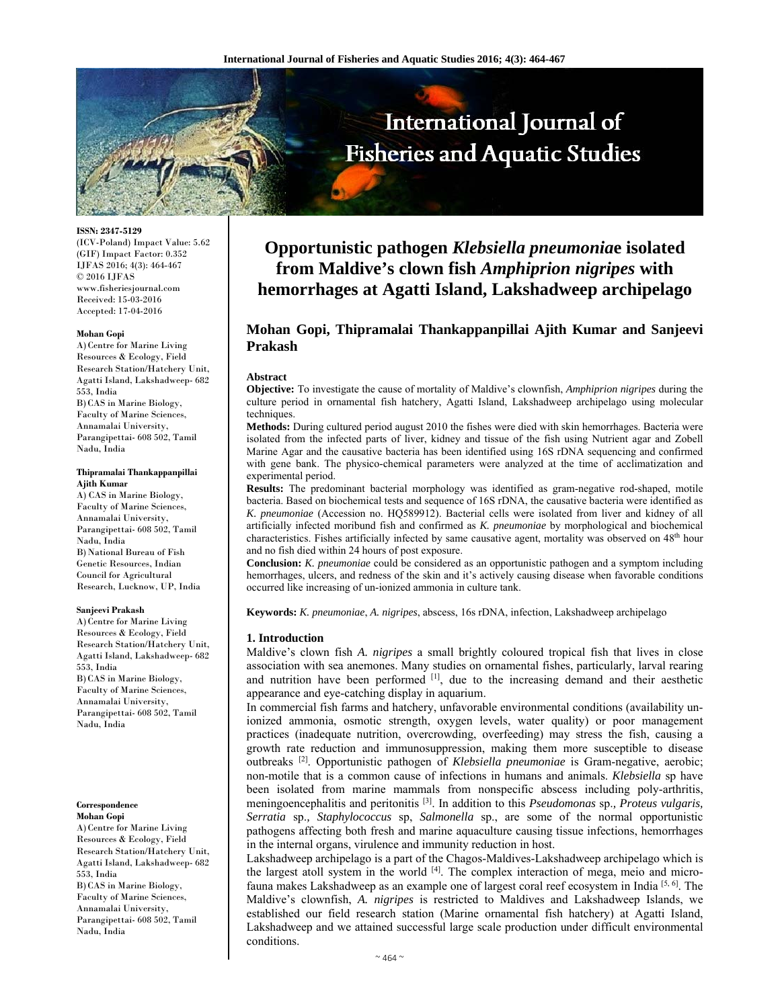

**ISSN: 2347-5129** 

(ICV-Poland) Impact Value: 5.62 (GIF) Impact Factor: 0.352 IJFAS 2016; 4(3): 464-467 © 2016 IJFAS www.fisheriesjournal.com Received: 15-03-2016 Accepted: 17-04-2016

#### **Mohan Gopi**

A)Centre for Marine Living Resources & Ecology, Field Research Station/Hatchery Unit, Agatti Island, Lakshadweep- 682 553, India B) CAS in Marine Biology, Faculty of Marine Sciences, Annamalai University, Parangipettai- 608 502, Tamil Nadu, India

#### **Thipramalai Thankappanpillai Ajith Kumar**

A) CAS in Marine Biology, Faculty of Marine Sciences, Annamalai University, Parangipettai- 608 502, Tamil Nadu, India B) National Bureau of Fish Genetic Resources, Indian Council for Agricultural Research, Lucknow, UP, India

#### **Sanjeevi Prakash**

A)Centre for Marine Living Resources & Ecology, Field Research Station/Hatchery Unit, Agatti Island, Lakshadweep- 682 553, India B) CAS in Marine Biology, Faculty of Marine Sciences, Annamalai University, Parangipettai- 608 502, Tamil Nadu, India

#### **Correspondence Mohan Gopi**

A)Centre for Marine Living Resources & Ecology, Field Research Station/Hatchery Unit, Agatti Island, Lakshadweep- 682 553, India B) CAS in Marine Biology, Faculty of Marine Sciences, Annamalai University, Parangipettai- 608 502, Tamil Nadu, India

# **Opportunistic pathogen** *Klebsiella pneumonia***e isolated from Maldive's clown fish** *Amphiprion nigripes* **with hemorrhages at Agatti Island, Lakshadweep archipelago**

# **Mohan Gopi, Thipramalai Thankappanpillai Ajith Kumar and Sanjeevi Prakash**

#### **Abstract**

**Objective:** To investigate the cause of mortality of Maldive's clownfish, *Amphiprion nigripes* during the culture period in ornamental fish hatchery, Agatti Island, Lakshadweep archipelago using molecular techniques.

**Methods:** During cultured period august 2010 the fishes were died with skin hemorrhages. Bacteria were isolated from the infected parts of liver, kidney and tissue of the fish using Nutrient agar and Zobell Marine Agar and the causative bacteria has been identified using 16S rDNA sequencing and confirmed with gene bank. The physico-chemical parameters were analyzed at the time of acclimatization and experimental period.

**Results:** The predominant bacterial morphology was identified as gram-negative rod-shaped, motile bacteria. Based on biochemical tests and sequence of 16S rDNA, the causative bacteria were identified as *K. pneumoniae* (Accession no. HQ589912). Bacterial cells were isolated from liver and kidney of all artificially infected moribund fish and confirmed as *K. pneumoniae* by morphological and biochemical characteristics. Fishes artificially infected by same causative agent, mortality was observed on 48<sup>th</sup> hour and no fish died within 24 hours of post exposure.

**Conclusion:** *K. pneumoniae* could be considered as an opportunistic pathogen and a symptom including hemorrhages, ulcers, and redness of the skin and it's actively causing disease when favorable conditions occurred like increasing of un-ionized ammonia in culture tank.

**Keywords:** *K. pneumoniae*, *A. nigripes*, abscess, 16s rDNA, infection, Lakshadweep archipelago

## **1. Introduction**

Maldive's clown fish *A. nigripes* a small brightly coloured tropical fish that lives in close association with sea anemones. Many studies on ornamental fishes, particularly, larval rearing and nutrition have been performed [1], due to the increasing demand and their aesthetic appearance and eye-catching display in aquarium.

In commercial fish farms and hatchery, unfavorable environmental conditions (availability unionized ammonia, osmotic strength, oxygen levels, water quality) or poor management practices (inadequate nutrition, overcrowding, overfeeding) may stress the fish, causing a growth rate reduction and immunosuppression, making them more susceptible to disease outbreaks [2]. Opportunistic pathogen of *Klebsiella pneumoniae* is Gram-negative, aerobic; non-motile that is a common cause of infections in humans and animals. *Klebsiella* sp have been isolated from marine mammals from nonspecific abscess including poly-arthritis, meningoencephalitis and peritonitis [3]. In addition to this *Pseudomonas* sp.*, Proteus vulgaris, Serratia* sp.*, Staphylococcus* sp, *Salmonella* sp., are some of the normal opportunistic pathogens affecting both fresh and marine aquaculture causing tissue infections, hemorrhages in the internal organs, virulence and immunity reduction in host.

Lakshadweep archipelago is a part of the Chagos-Maldives-Lakshadweep archipelago which is the largest atoll system in the world  $[4]$ . The complex interaction of mega, meio and microfauna makes Lakshadweep as an example one of largest coral reef ecosystem in India [5, 6]. The Maldive's clownfish, *A. nigripes* is restricted to Maldives and Lakshadweep Islands, we established our field research station (Marine ornamental fish hatchery) at Agatti Island, Lakshadweep and we attained successful large scale production under difficult environmental conditions.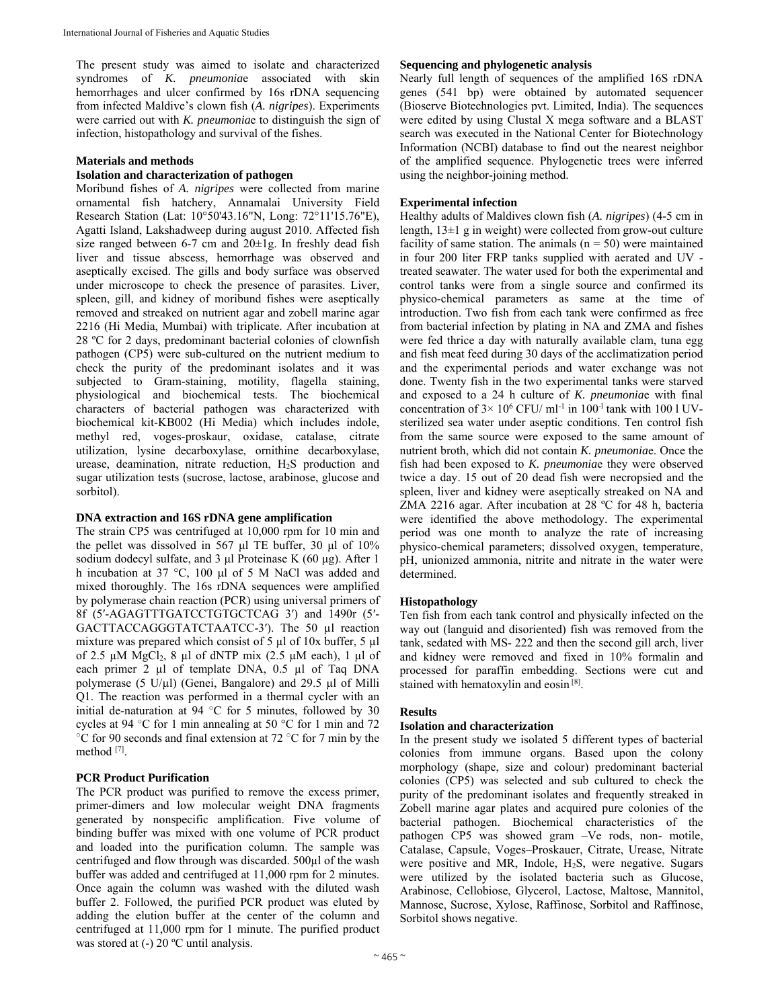The present study was aimed to isolate and characterized syndromes of *K. pneumonia*e associated with skin hemorrhages and ulcer confirmed by 16s rDNA sequencing from infected Maldive's clown fish (*A. nigripes*). Experiments were carried out with *K. pneumonia*e to distinguish the sign of infection, histopathology and survival of the fishes.

# **Materials and methods**

# **Isolation and characterization of pathogen**

Moribund fishes of *A. nigripes* were collected from marine ornamental fish hatchery, Annamalai University Field Research Station (Lat: 10°50'43.16"N, Long: 72°11'15.76"E), Agatti Island, Lakshadweep during august 2010. Affected fish size ranged between 6-7 cm and 20±1g. In freshly dead fish liver and tissue abscess, hemorrhage was observed and aseptically excised. The gills and body surface was observed under microscope to check the presence of parasites. Liver, spleen, gill, and kidney of moribund fishes were aseptically removed and streaked on nutrient agar and zobell marine agar 2216 (Hi Media, Mumbai) with triplicate. After incubation at 28 ºC for 2 days, predominant bacterial colonies of clownfish pathogen (CP5) were sub-cultured on the nutrient medium to check the purity of the predominant isolates and it was subjected to Gram-staining, motility, flagella staining, physiological and biochemical tests. The biochemical characters of bacterial pathogen was characterized with biochemical kit-KB002 (Hi Media) which includes indole, methyl red, voges-proskaur, oxidase, catalase, citrate utilization, lysine decarboxylase, ornithine decarboxylase, urease, deamination, nitrate reduction, H2S production and sugar utilization tests (sucrose, lactose, arabinose, glucose and sorbitol).

# **DNA extraction and 16S rDNA gene amplification**

The strain CP5 was centrifuged at 10,000 rpm for 10 min and the pellet was dissolved in 567 μl TE buffer, 30 μl of 10% sodium dodecyl sulfate, and 3 μl Proteinase K (60 μg). After 1 h incubation at 37 °C, 100 μl of 5 M NaCl was added and mixed thoroughly. The 16s rDNA sequences were amplified by polymerase chain reaction (PCR) using universal primers of 8f (5′-AGAGTTTGATCCTGTGCTCAG 3′) and 1490r (5′- GACTTACCAGGGTATCTAATCC-3′). The 50 µl reaction mixture was prepared which consist of 5 µl of 10x buffer, 5 µl of 2.5  $\mu$ M MgCl<sub>2</sub>, 8  $\mu$ l of dNTP mix (2.5  $\mu$ M each), 1  $\mu$ l of each primer 2 µl of template DNA, 0.5 µl of Taq DNA polymerase (5 U/µl) (Genei, Bangalore) and 29.5 µl of Milli Q1. The reaction was performed in a thermal cycler with an initial de-naturation at 94  $\degree$ C for 5 minutes, followed by 30 cycles at 94 °C for 1 min annealing at 50 °C for 1 min and 72 °C for 90 seconds and final extension at 72 °C for 7 min by the method [7].

# **PCR Product Purification**

The PCR product was purified to remove the excess primer, primer-dimers and low molecular weight DNA fragments generated by nonspecific amplification. Five volume of binding buffer was mixed with one volume of PCR product and loaded into the purification column. The sample was centrifuged and flow through was discarded. 500µl of the wash buffer was added and centrifuged at 11,000 rpm for 2 minutes. Once again the column was washed with the diluted wash buffer 2. Followed, the purified PCR product was eluted by adding the elution buffer at the center of the column and centrifuged at 11,000 rpm for 1 minute. The purified product was stored at  $(-)$  20 °C until analysis.

# **Sequencing and phylogenetic analysis**

Nearly full length of sequences of the amplified 16S rDNA genes (541 bp) were obtained by automated sequencer (Bioserve Biotechnologies pvt. Limited, India). The sequences were edited by using Clustal X mega software and a BLAST search was executed in the National Center for Biotechnology Information (NCBI) database to find out the nearest neighbor of the amplified sequence. Phylogenetic trees were inferred using the neighbor-joining method.

# **Experimental infection**

Healthy adults of Maldives clown fish (*A. nigripes*) (4-5 cm in length, 13±1 g in weight) were collected from grow-out culture facility of same station. The animals  $(n = 50)$  were maintained in four 200 liter FRP tanks supplied with aerated and UV treated seawater. The water used for both the experimental and control tanks were from a single source and confirmed its physico-chemical parameters as same at the time of introduction. Two fish from each tank were confirmed as free from bacterial infection by plating in NA and ZMA and fishes were fed thrice a day with naturally available clam, tuna egg and fish meat feed during 30 days of the acclimatization period and the experimental periods and water exchange was not done. Twenty fish in the two experimental tanks were starved and exposed to a 24 h culture of *K. pneumonia*e with final concentration of  $3 \times 10^6$  CFU/ ml<sup>-1</sup> in  $100^{-1}$  tank with 100 l UVsterilized sea water under aseptic conditions. Ten control fish from the same source were exposed to the same amount of nutrient broth, which did not contain *K. pneumonia*e. Once the fish had been exposed to *K. pneumonia*e they were observed twice a day. 15 out of 20 dead fish were necropsied and the spleen, liver and kidney were aseptically streaked on NA and ZMA 2216 agar. After incubation at 28 ºC for 48 h, bacteria were identified the above methodology. The experimental period was one month to analyze the rate of increasing physico-chemical parameters; dissolved oxygen, temperature, pH, unionized ammonia, nitrite and nitrate in the water were determined.

# **Histopathology**

Ten fish from each tank control and physically infected on the way out (languid and disoriented) fish was removed from the tank, sedated with MS- 222 and then the second gill arch, liver and kidney were removed and fixed in 10% formalin and processed for paraffin embedding. Sections were cut and stained with hematoxylin and eosin [8].

# **Results**

# **Isolation and characterization**

In the present study we isolated 5 different types of bacterial colonies from immune organs. Based upon the colony morphology (shape, size and colour) predominant bacterial colonies (CP5) was selected and sub cultured to check the purity of the predominant isolates and frequently streaked in Zobell marine agar plates and acquired pure colonies of the bacterial pathogen. Biochemical characteristics of the pathogen CP5 was showed gram –Ve rods, non- motile, Catalase, Capsule, Voges–Proskauer, Citrate, Urease, Nitrate were positive and MR, Indole,  $H_2S$ , were negative. Sugars were utilized by the isolated bacteria such as Glucose, Arabinose, Cellobiose, Glycerol, Lactose, Maltose, Mannitol, Mannose, Sucrose, Xylose, Raffinose, Sorbitol and Raffinose, Sorbitol shows negative.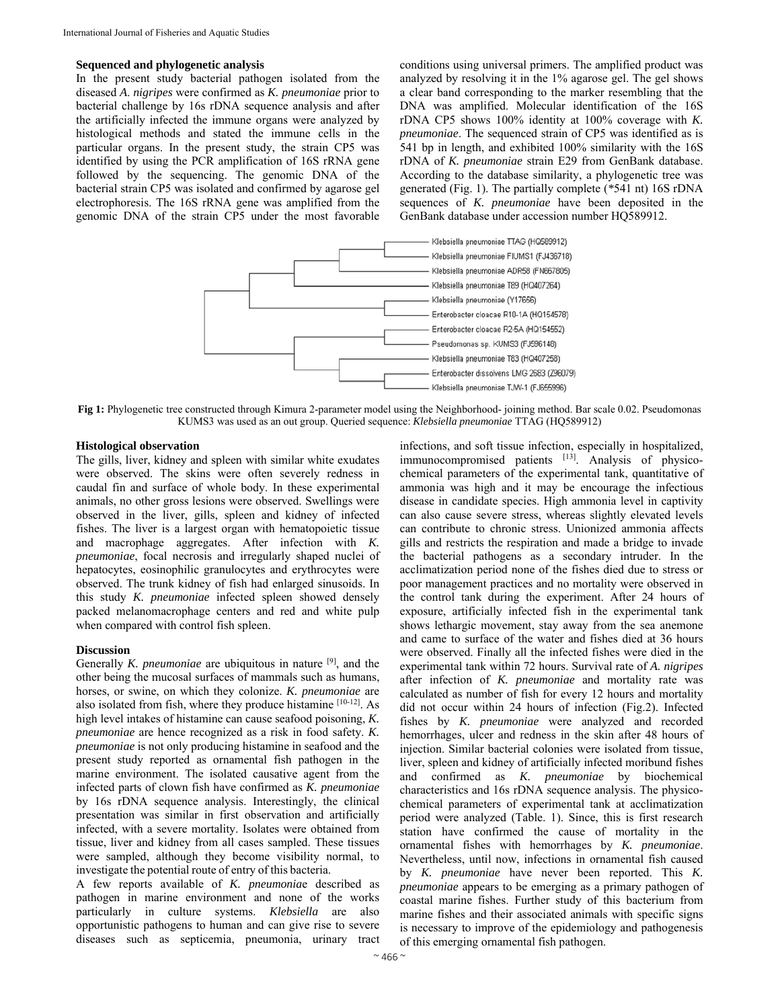#### **Sequenced and phylogenetic analysis**

In the present study bacterial pathogen isolated from the diseased *A*. *nigripes* were confirmed as *K. pneumoniae* prior to bacterial challenge by 16s rDNA sequence analysis and after the artificially infected the immune organs were analyzed by histological methods and stated the immune cells in the particular organs. In the present study, the strain CP5 was identified by using the PCR amplification of 16S rRNA gene followed by the sequencing. The genomic DNA of the bacterial strain CP5 was isolated and confirmed by agarose gel electrophoresis. The 16S rRNA gene was amplified from the genomic DNA of the strain CP5 under the most favorable

conditions using universal primers. The amplified product was analyzed by resolving it in the 1% agarose gel. The gel shows a clear band corresponding to the marker resembling that the DNA was amplified. Molecular identification of the 16S rDNA CP5 shows 100% identity at 100% coverage with *K. pneumoniae*. The sequenced strain of CP5 was identified as is 541 bp in length, and exhibited 100% similarity with the 16S rDNA of *K. pneumoniae* strain E29 from GenBank database. According to the database similarity, a phylogenetic tree was generated (Fig. 1). The partially complete (*\**541 nt) 16S rDNA sequences of *K. pneumoniae* have been deposited in the GenBank database under accession number HQ589912.



**Fig 1:** Phylogenetic tree constructed through Kimura 2-parameter model using the Neighborhood- joining method. Bar scale 0.02. Pseudomonas KUMS3 was used as an out group. Queried sequence: *Klebsiella pneumoniae* TTAG (HQ589912)

## **Histological observation**

The gills, liver, kidney and spleen with similar white exudates were observed. The skins were often severely redness in caudal fin and surface of whole body. In these experimental animals, no other gross lesions were observed. Swellings were observed in the liver, gills, spleen and kidney of infected fishes. The liver is a largest organ with hematopoietic tissue and macrophage aggregates. After infection with *K. pneumoniae*, focal necrosis and irregularly shaped nuclei of hepatocytes, eosinophilic granulocytes and erythrocytes were observed. The trunk kidney of fish had enlarged sinusoids. In this study *K. pneumoniae* infected spleen showed densely packed melanomacrophage centers and red and white pulp when compared with control fish spleen.

## **Discussion**

Generally *K. pneumoniae* are ubiquitous in nature [9], and the other being the mucosal surfaces of mammals such as humans, horses, or swine, on which they colonize. *K. pneumoniae* are also isolated from fish, where they produce histamine [10-12]. As high level intakes of histamine can cause seafood poisoning, *K. pneumoniae* are hence recognized as a risk in food safety. *K. pneumoniae* is not only producing histamine in seafood and the present study reported as ornamental fish pathogen in the marine environment. The isolated causative agent from the infected parts of clown fish have confirmed as *K. pneumoniae* by 16s rDNA sequence analysis. Interestingly, the clinical presentation was similar in first observation and artificially infected, with a severe mortality. Isolates were obtained from tissue, liver and kidney from all cases sampled. These tissues were sampled, although they become visibility normal, to investigate the potential route of entry of this bacteria.

A few reports available of *K. pneumonia*e described as pathogen in marine environment and none of the works particularly in culture systems. *Klebsiella* are also opportunistic pathogens to human and can give rise to severe diseases such as septicemia, pneumonia, urinary tract

infections, and soft tissue infection, especially in hospitalized, immunocompromised patients [13]. Analysis of physicochemical parameters of the experimental tank, quantitative of ammonia was high and it may be encourage the infectious disease in candidate species. High ammonia level in captivity can also cause severe stress, whereas slightly elevated levels can contribute to chronic stress. Unionized ammonia affects gills and restricts the respiration and made a bridge to invade the bacterial pathogens as a secondary intruder. In the acclimatization period none of the fishes died due to stress or poor management practices and no mortality were observed in the control tank during the experiment. After 24 hours of exposure, artificially infected fish in the experimental tank shows lethargic movement, stay away from the sea anemone and came to surface of the water and fishes died at 36 hours were observed. Finally all the infected fishes were died in the experimental tank within 72 hours. Survival rate of *A. nigripes* after infection of *K. pneumoniae* and mortality rate was calculated as number of fish for every 12 hours and mortality did not occur within 24 hours of infection (Fig.2). Infected fishes by *K. pneumoniae* were analyzed and recorded hemorrhages, ulcer and redness in the skin after 48 hours of injection. Similar bacterial colonies were isolated from tissue, liver, spleen and kidney of artificially infected moribund fishes and confirmed as *K. pneumoniae* by biochemical characteristics and 16s rDNA sequence analysis. The physicochemical parameters of experimental tank at acclimatization period were analyzed (Table. 1). Since, this is first research station have confirmed the cause of mortality in the ornamental fishes with hemorrhages by *K. pneumoniae*. Nevertheless, until now, infections in ornamental fish caused by *K. pneumoniae* have never been reported. This *K. pneumoniae* appears to be emerging as a primary pathogen of coastal marine fishes. Further study of this bacterium from marine fishes and their associated animals with specific signs is necessary to improve of the epidemiology and pathogenesis of this emerging ornamental fish pathogen.